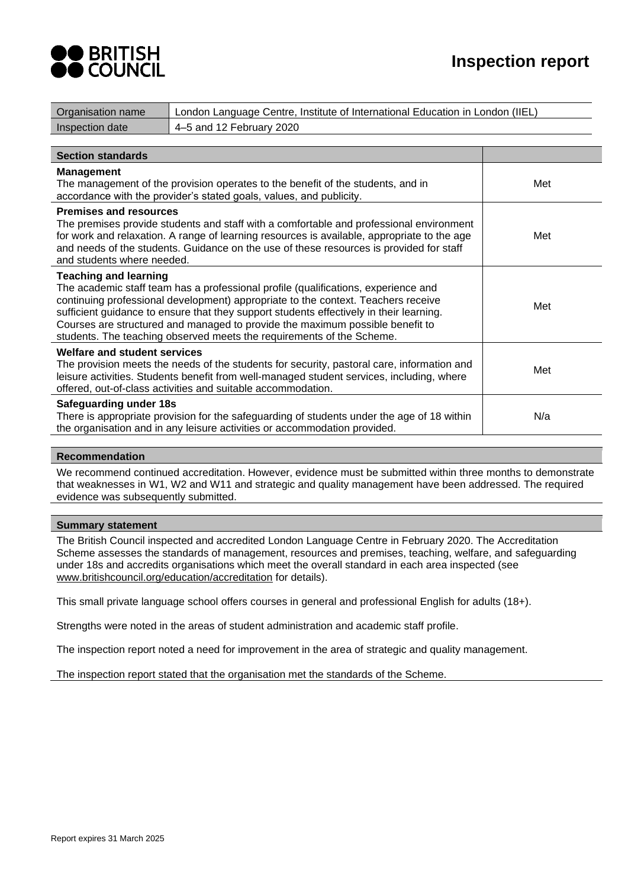

| Organisation name                                           | London Language Centre, Institute of International Education in London (IIEL)                                                                                                                                                                                                                                                                                                                                                |     |
|-------------------------------------------------------------|------------------------------------------------------------------------------------------------------------------------------------------------------------------------------------------------------------------------------------------------------------------------------------------------------------------------------------------------------------------------------------------------------------------------------|-----|
| Inspection date                                             | 4-5 and 12 February 2020                                                                                                                                                                                                                                                                                                                                                                                                     |     |
|                                                             |                                                                                                                                                                                                                                                                                                                                                                                                                              |     |
| <b>Section standards</b>                                    |                                                                                                                                                                                                                                                                                                                                                                                                                              |     |
| <b>Management</b>                                           | The management of the provision operates to the benefit of the students, and in<br>accordance with the provider's stated goals, values, and publicity.                                                                                                                                                                                                                                                                       | Met |
| <b>Premises and resources</b><br>and students where needed. | The premises provide students and staff with a comfortable and professional environment<br>for work and relaxation. A range of learning resources is available, appropriate to the age<br>and needs of the students. Guidance on the use of these resources is provided for staff                                                                                                                                            | Met |
| <b>Teaching and learning</b>                                | The academic staff team has a professional profile (qualifications, experience and<br>continuing professional development) appropriate to the context. Teachers receive<br>sufficient guidance to ensure that they support students effectively in their learning.<br>Courses are structured and managed to provide the maximum possible benefit to<br>students. The teaching observed meets the requirements of the Scheme. | Met |
| <b>Welfare and student services</b>                         | The provision meets the needs of the students for security, pastoral care, information and<br>leisure activities. Students benefit from well-managed student services, including, where<br>offered, out-of-class activities and suitable accommodation.                                                                                                                                                                      | Met |
| Safeguarding under 18s                                      | There is appropriate provision for the safeguarding of students under the age of 18 within<br>the organisation and in any leisure activities or accommodation provided.                                                                                                                                                                                                                                                      | N/a |

## **Recommendation**

We recommend continued accreditation. However, evidence must be submitted within three months to demonstrate that weaknesses in W1, W2 and W11 and strategic and quality management have been addressed. The required evidence was subsequently submitted.

## **Summary statement**

The British Council inspected and accredited London Language Centre in February 2020. The Accreditation Scheme assesses the standards of management, resources and premises, teaching, welfare, and safeguarding under 18s and accredits organisations which meet the overall standard in each area inspected (see [www.britishcouncil.org/education/accreditation](http://www.britishcouncil.org/education/accreditation) for details).

This small private language school offers courses in general and professional English for adults (18+).

Strengths were noted in the areas of student administration and academic staff profile.

The inspection report noted a need for improvement in the area of strategic and quality management.

The inspection report stated that the organisation met the standards of the Scheme.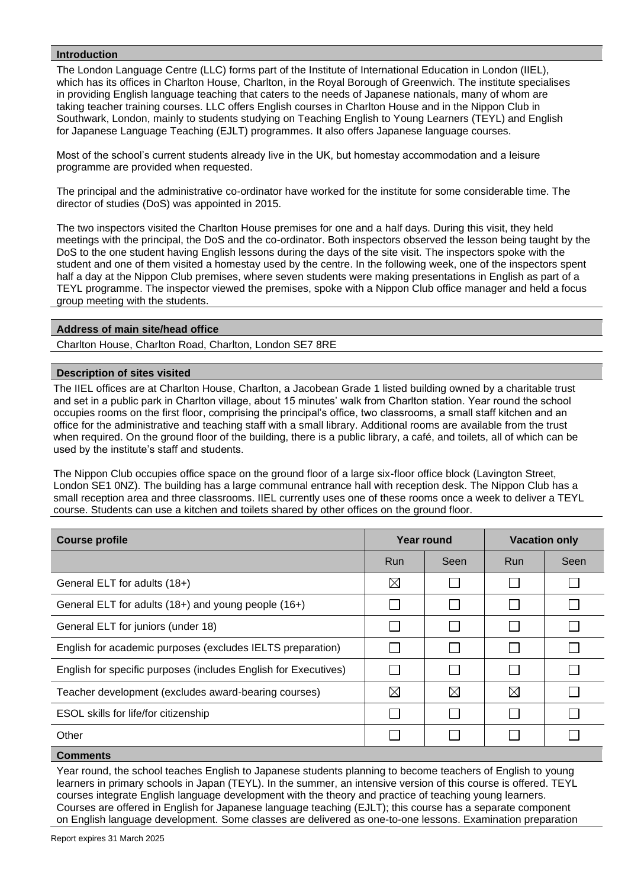## **Introduction**

The London Language Centre (LLC) forms part of the Institute of International Education in London (IIEL), which has its offices in Charlton House, Charlton, in the Royal Borough of Greenwich. The institute specialises in providing English language teaching that caters to the needs of Japanese nationals, many of whom are taking teacher training courses. LLC offers English courses in Charlton House and in the Nippon Club in Southwark, London, mainly to students studying on Teaching English to Young Learners (TEYL) and English for Japanese Language Teaching (EJLT) programmes. It also offers Japanese language courses.

Most of the school's current students already live in the UK, but homestay accommodation and a leisure programme are provided when requested.

The principal and the administrative co-ordinator have worked for the institute for some considerable time. The director of studies (DoS) was appointed in 2015.

The two inspectors visited the Charlton House premises for one and a half days. During this visit, they held meetings with the principal, the DoS and the co-ordinator. Both inspectors observed the lesson being taught by the DoS to the one student having English lessons during the days of the site visit. The inspectors spoke with the student and one of them visited a homestay used by the centre. In the following week, one of the inspectors spent half a day at the Nippon Club premises, where seven students were making presentations in English as part of a TEYL programme. The inspector viewed the premises, spoke with a Nippon Club office manager and held a focus group meeting with the students.

## **Address of main site/head office**

Charlton House, Charlton Road, Charlton, London SE7 8RE

## **Description of sites visited**

The IIEL offices are at Charlton House, Charlton, a Jacobean Grade 1 listed building owned by a charitable trust and set in a public park in Charlton village, about 15 minutes' walk from Charlton station. Year round the school occupies rooms on the first floor, comprising the principal's office, two classrooms, a small staff kitchen and an office for the administrative and teaching staff with a small library. Additional rooms are available from the trust when required. On the ground floor of the building, there is a public library, a café, and toilets, all of which can be used by the institute's staff and students.

The Nippon Club occupies office space on the ground floor of a large six-floor office block (Lavington Street, London SE1 0NZ). The building has a large communal entrance hall with reception desk. The Nippon Club has a small reception area and three classrooms. IIEL currently uses one of these rooms once a week to deliver a TEYL course. Students can use a kitchen and toilets shared by other offices on the ground floor.

| <b>Course profile</b>                                           |             | Year round  | <b>Vacation only</b> |      |
|-----------------------------------------------------------------|-------------|-------------|----------------------|------|
|                                                                 | <b>Run</b>  | Seen        | Run                  | Seen |
| General ELT for adults (18+)                                    | $\boxtimes$ |             |                      |      |
| General ELT for adults (18+) and young people (16+)             |             |             |                      |      |
| General ELT for juniors (under 18)                              |             |             |                      |      |
| English for academic purposes (excludes IELTS preparation)      |             |             |                      |      |
| English for specific purposes (includes English for Executives) |             |             |                      |      |
| Teacher development (excludes award-bearing courses)            | ⊠           | $\boxtimes$ | $\boxtimes$          |      |
| ESOL skills for life/for citizenship                            |             |             |                      |      |
| Other                                                           |             |             |                      |      |
|                                                                 |             |             |                      |      |

**Comments**

Year round, the school teaches English to Japanese students planning to become teachers of English to young learners in primary schools in Japan (TEYL). In the summer, an intensive version of this course is offered. TEYL courses integrate English language development with the theory and practice of teaching young learners. Courses are offered in English for Japanese language teaching (EJLT); this course has a separate component on English language development. Some classes are delivered as one-to-one lessons. Examination preparation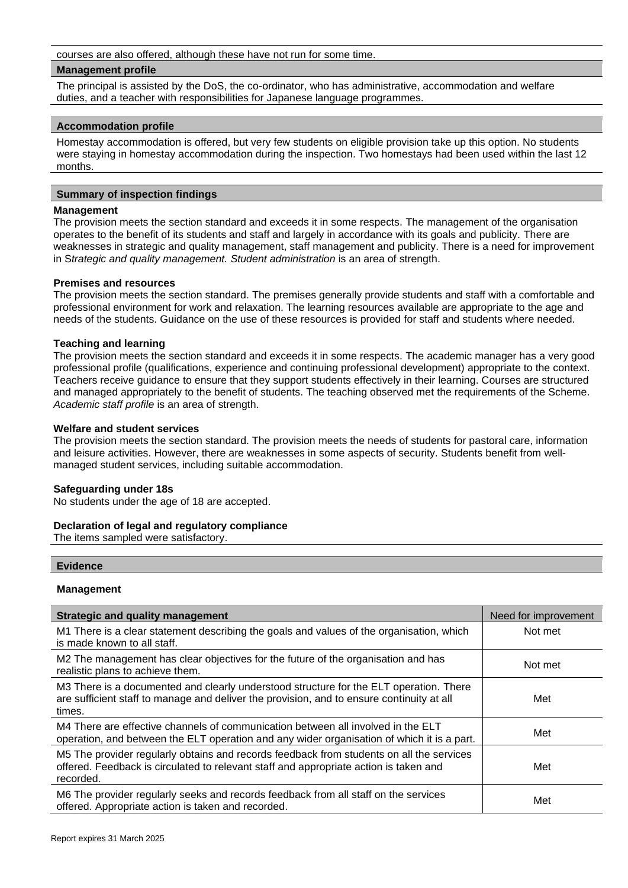courses are also offered, although these have not run for some time.

#### **Management profile**

The principal is assisted by the DoS, the co-ordinator, who has administrative, accommodation and welfare duties, and a teacher with responsibilities for Japanese language programmes.

#### **Accommodation profile**

Homestay accommodation is offered, but very few students on eligible provision take up this option. No students were staying in homestay accommodation during the inspection. Two homestays had been used within the last 12 months.

## **Summary of inspection findings**

#### **Management**

The provision meets the section standard and exceeds it in some respects. The management of the organisation operates to the benefit of its students and staff and largely in accordance with its goals and publicity. There are weaknesses in strategic and quality management, staff management and publicity. There is a need for improvement in S*trategic and quality management. Student administration* is an area of strength.

#### **Premises and resources**

The provision meets the section standard. The premises generally provide students and staff with a comfortable and professional environment for work and relaxation. The learning resources available are appropriate to the age and needs of the students. Guidance on the use of these resources is provided for staff and students where needed.

## **Teaching and learning**

The provision meets the section standard and exceeds it in some respects. The academic manager has a very good professional profile (qualifications, experience and continuing professional development) appropriate to the context. Teachers receive guidance to ensure that they support students effectively in their learning. Courses are structured and managed appropriately to the benefit of students. The teaching observed met the requirements of the Scheme. *Academic staff profile* is an area of strength.

#### **Welfare and student services**

The provision meets the section standard. The provision meets the needs of students for pastoral care, information and leisure activities. However, there are weaknesses in some aspects of security. Students benefit from wellmanaged student services, including suitable accommodation.

## **Safeguarding under 18s**

No students under the age of 18 are accepted.

## **Declaration of legal and regulatory compliance**

The items sampled were satisfactory.

## **Evidence**

## **Management**

| <b>Strategic and quality management</b>                                                                                                                                                        | Need for improvement |
|------------------------------------------------------------------------------------------------------------------------------------------------------------------------------------------------|----------------------|
| M1 There is a clear statement describing the goals and values of the organisation, which<br>is made known to all staff.                                                                        | Not met              |
| M2 The management has clear objectives for the future of the organisation and has<br>realistic plans to achieve them.                                                                          | Not met              |
| M3 There is a documented and clearly understood structure for the ELT operation. There<br>are sufficient staff to manage and deliver the provision, and to ensure continuity at all<br>times.  | Met                  |
| M4 There are effective channels of communication between all involved in the ELT<br>operation, and between the ELT operation and any wider organisation of which it is a part.                 | Met                  |
| M5 The provider regularly obtains and records feedback from students on all the services<br>offered. Feedback is circulated to relevant staff and appropriate action is taken and<br>recorded. | Met                  |
| M6 The provider regularly seeks and records feedback from all staff on the services<br>offered. Appropriate action is taken and recorded.                                                      | Met                  |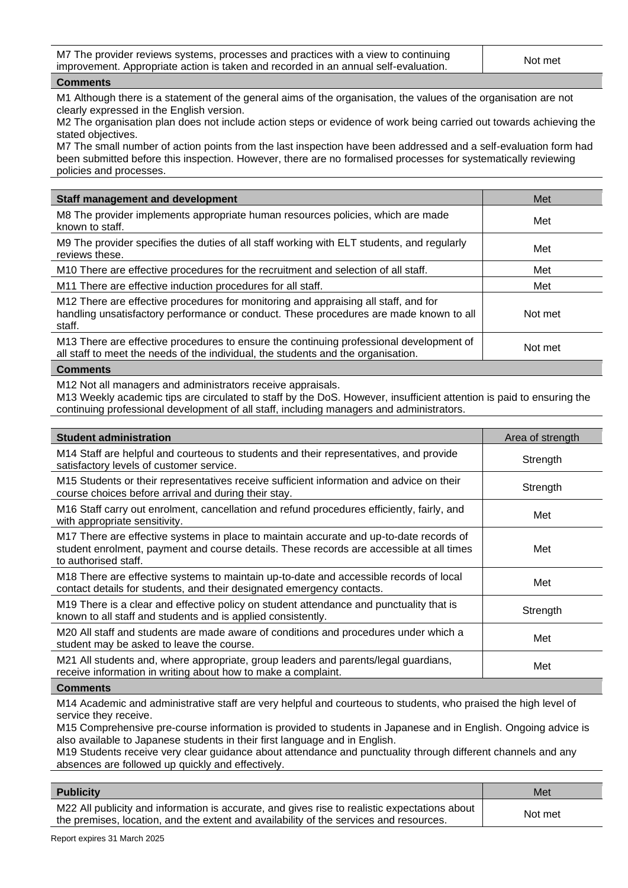M7 The provider reviews systems, processes and practices with a view to continuing Interprovider reviews systems, processes and practices with a view to community<br>improvement. Appropriate action is taken and recorded in an annual self-evaluation.

#### **Comments**

M1 Although there is a statement of the general aims of the organisation, the values of the organisation are not clearly expressed in the English version.

M2 The organisation plan does not include action steps or evidence of work being carried out towards achieving the stated objectives.

M7 The small number of action points from the last inspection have been addressed and a self-evaluation form had been submitted before this inspection. However, there are no formalised processes for systematically reviewing policies and processes.

| <b>Staff management and development</b>                                                                                                                                                 | Met     |
|-----------------------------------------------------------------------------------------------------------------------------------------------------------------------------------------|---------|
| M8 The provider implements appropriate human resources policies, which are made<br>known to staff.                                                                                      | Met     |
| M9 The provider specifies the duties of all staff working with ELT students, and regularly<br>reviews these.                                                                            | Met     |
| M10 There are effective procedures for the recruitment and selection of all staff.                                                                                                      | Met     |
| M11 There are effective induction procedures for all staff.                                                                                                                             | Met     |
| M12 There are effective procedures for monitoring and appraising all staff, and for<br>handling unsatisfactory performance or conduct. These procedures are made known to all<br>staff. | Not met |
| M13 There are effective procedures to ensure the continuing professional development of<br>all staff to meet the needs of the individual, the students and the organisation.            | Not met |
|                                                                                                                                                                                         |         |

## **Comments**

M12 Not all managers and administrators receive appraisals.

M13 Weekly academic tips are circulated to staff by the DoS. However, insufficient attention is paid to ensuring the continuing professional development of all staff, including managers and administrators.

| <b>Student administration</b>                                                                                                                                                                               | Area of strength |
|-------------------------------------------------------------------------------------------------------------------------------------------------------------------------------------------------------------|------------------|
| M14 Staff are helpful and courteous to students and their representatives, and provide<br>satisfactory levels of customer service.                                                                          | Strength         |
| M15 Students or their representatives receive sufficient information and advice on their<br>course choices before arrival and during their stay.                                                            | Strength         |
| M16 Staff carry out enrolment, cancellation and refund procedures efficiently, fairly, and<br>with appropriate sensitivity.                                                                                 | Met              |
| M17 There are effective systems in place to maintain accurate and up-to-date records of<br>student enrolment, payment and course details. These records are accessible at all times<br>to authorised staff. | Met              |
| M18 There are effective systems to maintain up-to-date and accessible records of local<br>contact details for students, and their designated emergency contacts.                                            | Met              |
| M19 There is a clear and effective policy on student attendance and punctuality that is<br>known to all staff and students and is applied consistently.                                                     | Strength         |
| M20 All staff and students are made aware of conditions and procedures under which a<br>student may be asked to leave the course.                                                                           | Met              |
| M21 All students and, where appropriate, group leaders and parents/legal guardians,<br>receive information in writing about how to make a complaint.                                                        | Met              |
|                                                                                                                                                                                                             |                  |

#### **Comments**

M14 Academic and administrative staff are very helpful and courteous to students, who praised the high level of service they receive.

M15 Comprehensive pre-course information is provided to students in Japanese and in English. Ongoing advice is also available to Japanese students in their first language and in English.

M19 Students receive very clear guidance about attendance and punctuality through different channels and any absences are followed up quickly and effectively.

| <b>Publicity</b>                                                                                                                                                                        | Met     |
|-----------------------------------------------------------------------------------------------------------------------------------------------------------------------------------------|---------|
| M22 All publicity and information is accurate, and gives rise to realistic expectations about<br>the premises, location, and the extent and availability of the services and resources. | Not met |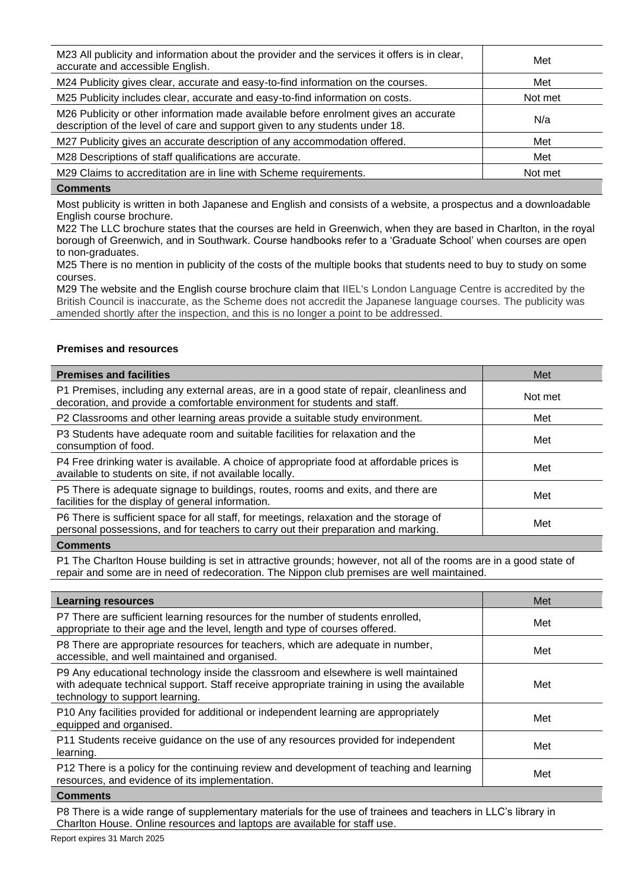| M23 All publicity and information about the provider and the services it offers is in clear,<br>accurate and accessible English.                                     | Met     |
|----------------------------------------------------------------------------------------------------------------------------------------------------------------------|---------|
| M24 Publicity gives clear, accurate and easy-to-find information on the courses.                                                                                     | Met     |
| M25 Publicity includes clear, accurate and easy-to-find information on costs.                                                                                        | Not met |
| M26 Publicity or other information made available before enrolment gives an accurate<br>description of the level of care and support given to any students under 18. | N/a     |
| M27 Publicity gives an accurate description of any accommodation offered.                                                                                            | Met     |
| M28 Descriptions of staff qualifications are accurate.                                                                                                               | Met     |
| M29 Claims to accreditation are in line with Scheme requirements.                                                                                                    | Not met |

## **Comments**

Most publicity is written in both Japanese and English and consists of a website, a prospectus and a downloadable English course brochure.

M22 The LLC brochure states that the courses are held in Greenwich, when they are based in Charlton, in the royal borough of Greenwich, and in Southwark. Course handbooks refer to a 'Graduate School' when courses are open to non-graduates.

M25 There is no mention in publicity of the costs of the multiple books that students need to buy to study on some courses.

M29 The website and the English course brochure claim that IIEL's London Language Centre is accredited by the British Council is inaccurate, as the Scheme does not accredit the Japanese language courses. The publicity was amended shortly after the inspection, and this is no longer a point to be addressed.

## **Premises and resources**

| <b>Premises and facilities</b>                                                                                                                                                | Met     |
|-------------------------------------------------------------------------------------------------------------------------------------------------------------------------------|---------|
| P1 Premises, including any external areas, are in a good state of repair, cleanliness and<br>decoration, and provide a comfortable environment for students and staff.        | Not met |
| P2 Classrooms and other learning areas provide a suitable study environment.                                                                                                  | Met     |
| P3 Students have adequate room and suitable facilities for relaxation and the<br>consumption of food.                                                                         | Met     |
| P4 Free drinking water is available. A choice of appropriate food at affordable prices is<br>available to students on site, if not available locally.                         | Met     |
| P5 There is adequate signage to buildings, routes, rooms and exits, and there are<br>facilities for the display of general information.                                       | Met     |
| P6 There is sufficient space for all staff, for meetings, relaxation and the storage of<br>personal possessions, and for teachers to carry out their preparation and marking. | Met     |
| Commonte                                                                                                                                                                      |         |

**Comments**

P1 The Charlton House building is set in attractive grounds; however, not all of the rooms are in a good state of repair and some are in need of redecoration. The Nippon club premises are well maintained.

| <b>Learning resources</b>                                                                                                                                                                                            | Met |
|----------------------------------------------------------------------------------------------------------------------------------------------------------------------------------------------------------------------|-----|
| P7 There are sufficient learning resources for the number of students enrolled,<br>appropriate to their age and the level, length and type of courses offered.                                                       | Met |
| P8 There are appropriate resources for teachers, which are adequate in number,<br>accessible, and well maintained and organised.                                                                                     | Met |
| P9 Any educational technology inside the classroom and elsewhere is well maintained<br>with adequate technical support. Staff receive appropriate training in using the available<br>technology to support learning. | Met |
| P10 Any facilities provided for additional or independent learning are appropriately<br>equipped and organised.                                                                                                      | Met |
| P11 Students receive guidance on the use of any resources provided for independent<br>learning.                                                                                                                      | Met |
| P12 There is a policy for the continuing review and development of teaching and learning<br>resources, and evidence of its implementation.                                                                           | Met |
| $P = 1$                                                                                                                                                                                                              |     |

**Comments**

P8 There is a wide range of supplementary materials for the use of trainees and teachers in LLC's library in Charlton House. Online resources and laptops are available for staff use.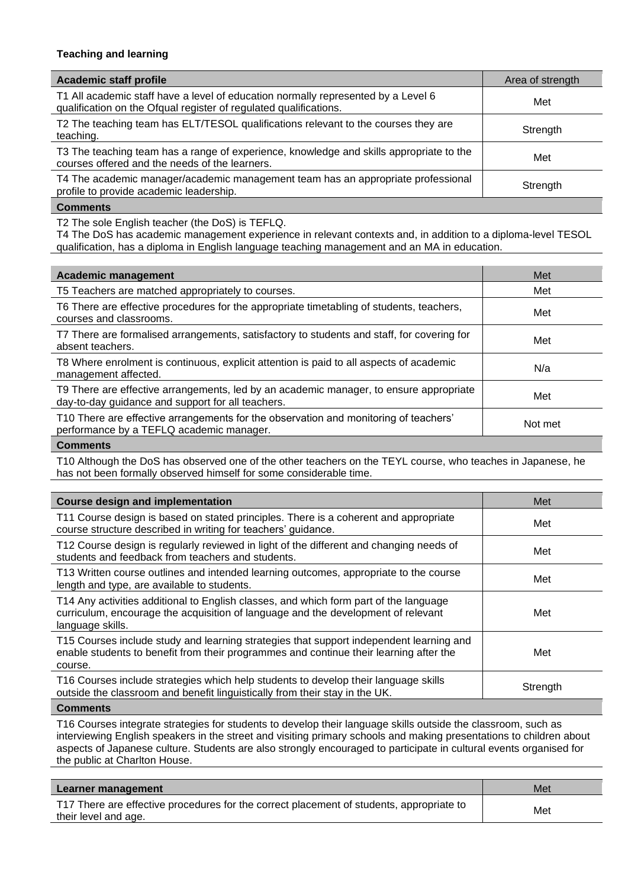## **Teaching and learning**

| <b>Academic staff profile</b>                                                                                                                          | Area of strength |
|--------------------------------------------------------------------------------------------------------------------------------------------------------|------------------|
| T1 All academic staff have a level of education normally represented by a Level 6<br>qualification on the Ofqual register of regulated qualifications. | Met              |
| T2 The teaching team has ELT/TESOL qualifications relevant to the courses they are<br>teaching.                                                        | Strength         |
| T3 The teaching team has a range of experience, knowledge and skills appropriate to the<br>courses offered and the needs of the learners.              | Met              |
| T4 The academic manager/academic management team has an appropriate professional<br>profile to provide academic leadership.                            | Strength         |
|                                                                                                                                                        |                  |

## **Comments**

T2 The sole English teacher (the DoS) is TEFLQ.

T4 The DoS has academic management experience in relevant contexts and, in addition to a diploma-level TESOL qualification, has a diploma in English language teaching management and an MA in education.

| <b>Academic management</b>                                                                                                                  | Met     |
|---------------------------------------------------------------------------------------------------------------------------------------------|---------|
| T5 Teachers are matched appropriately to courses.                                                                                           | Met     |
| T6 There are effective procedures for the appropriate timetabling of students, teachers,<br>courses and classrooms.                         | Met     |
| T7 There are formalised arrangements, satisfactory to students and staff, for covering for<br>absent teachers.                              | Met     |
| T8 Where enrolment is continuous, explicit attention is paid to all aspects of academic<br>management affected.                             | N/a     |
| T9 There are effective arrangements, led by an academic manager, to ensure appropriate<br>day-to-day guidance and support for all teachers. | Met     |
| T10 There are effective arrangements for the observation and monitoring of teachers'<br>performance by a TEFLQ academic manager.            | Not met |

## **Comments**

T10 Although the DoS has observed one of the other teachers on the TEYL course, who teaches in Japanese, he has not been formally observed himself for some considerable time.

| <b>Course design and implementation</b>                                                                                                                                                        | Met      |
|------------------------------------------------------------------------------------------------------------------------------------------------------------------------------------------------|----------|
| T11 Course design is based on stated principles. There is a coherent and appropriate<br>course structure described in writing for teachers' guidance.                                          | Met      |
| T12 Course design is regularly reviewed in light of the different and changing needs of<br>students and feedback from teachers and students.                                                   | Met      |
| T13 Written course outlines and intended learning outcomes, appropriate to the course<br>length and type, are available to students.                                                           | Met      |
| T14 Any activities additional to English classes, and which form part of the language<br>curriculum, encourage the acquisition of language and the development of relevant<br>language skills. | Met      |
| T15 Courses include study and learning strategies that support independent learning and<br>enable students to benefit from their programmes and continue their learning after the<br>course.   | Met      |
| T16 Courses include strategies which help students to develop their language skills<br>outside the classroom and benefit linguistically from their stay in the UK.                             | Strength |

## **Comments**

T16 Courses integrate strategies for students to develop their language skills outside the classroom, such as interviewing English speakers in the street and visiting primary schools and making presentations to children about aspects of Japanese culture. Students are also strongly encouraged to participate in cultural events organised for the public at Charlton House.

| Learner management                                                                       | Met |
|------------------------------------------------------------------------------------------|-----|
| T17 There are effective procedures for the correct placement of students, appropriate to | Met |
| their level and age.                                                                     |     |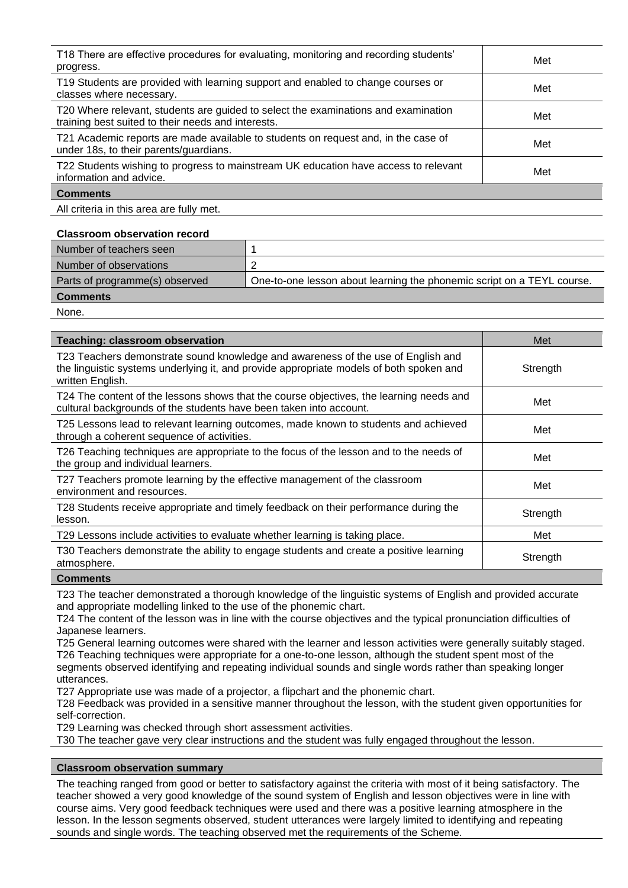| T18 There are effective procedures for evaluating, monitoring and recording students'<br>progress.                                       | Met |
|------------------------------------------------------------------------------------------------------------------------------------------|-----|
| T19 Students are provided with learning support and enabled to change courses or<br>classes where necessary.                             | Met |
| T20 Where relevant, students are guided to select the examinations and examination<br>training best suited to their needs and interests. | Met |
| T21 Academic reports are made available to students on request and, in the case of<br>under 18s, to their parents/guardians.             | Met |
| T22 Students wishing to progress to mainstream UK education have access to relevant<br>information and advice.                           | Met |
| <b>Comments</b>                                                                                                                          |     |

All criteria in this area are fully met.

#### **Classroom observation record**

| Number of teachers seen        |                                                                        |
|--------------------------------|------------------------------------------------------------------------|
| Number of observations         |                                                                        |
| Parts of programme(s) observed | One-to-one lesson about learning the phonemic script on a TEYL course. |
| <b>Comments</b>                |                                                                        |
| <b>None</b>                    |                                                                        |

None.

| <b>Teaching: classroom observation</b>                                                                                                                                                          | Met      |
|-------------------------------------------------------------------------------------------------------------------------------------------------------------------------------------------------|----------|
| T23 Teachers demonstrate sound knowledge and awareness of the use of English and<br>the linguistic systems underlying it, and provide appropriate models of both spoken and<br>written English. | Strength |
| T24 The content of the lessons shows that the course objectives, the learning needs and<br>cultural backgrounds of the students have been taken into account.                                   | Met      |
| T25 Lessons lead to relevant learning outcomes, made known to students and achieved<br>through a coherent sequence of activities.                                                               | Met      |
| T26 Teaching techniques are appropriate to the focus of the lesson and to the needs of<br>the group and individual learners.                                                                    | Met      |
| T27 Teachers promote learning by the effective management of the classroom<br>environment and resources.                                                                                        | Met      |
| T28 Students receive appropriate and timely feedback on their performance during the<br>lesson.                                                                                                 | Strength |
| T29 Lessons include activities to evaluate whether learning is taking place.                                                                                                                    | Met      |
| T30 Teachers demonstrate the ability to engage students and create a positive learning<br>atmosphere.                                                                                           | Strength |
| Comments                                                                                                                                                                                        |          |

T23 The teacher demonstrated a thorough knowledge of the linguistic systems of English and provided accurate and appropriate modelling linked to the use of the phonemic chart.

T24 The content of the lesson was in line with the course objectives and the typical pronunciation difficulties of Japanese learners.

T25 General learning outcomes were shared with the learner and lesson activities were generally suitably staged. T26 Teaching techniques were appropriate for a one-to-one lesson, although the student spent most of the segments observed identifying and repeating individual sounds and single words rather than speaking longer utterances.

T27 Appropriate use was made of a projector, a flipchart and the phonemic chart.

T28 Feedback was provided in a sensitive manner throughout the lesson, with the student given opportunities for self-correction.

T29 Learning was checked through short assessment activities.

T30 The teacher gave very clear instructions and the student was fully engaged throughout the lesson.

## **Classroom observation summary**

The teaching ranged from good or better to satisfactory against the criteria with most of it being satisfactory. The teacher showed a very good knowledge of the sound system of English and lesson objectives were in line with course aims. Very good feedback techniques were used and there was a positive learning atmosphere in the lesson. In the lesson segments observed, student utterances were largely limited to identifying and repeating sounds and single words. The teaching observed met the requirements of the Scheme.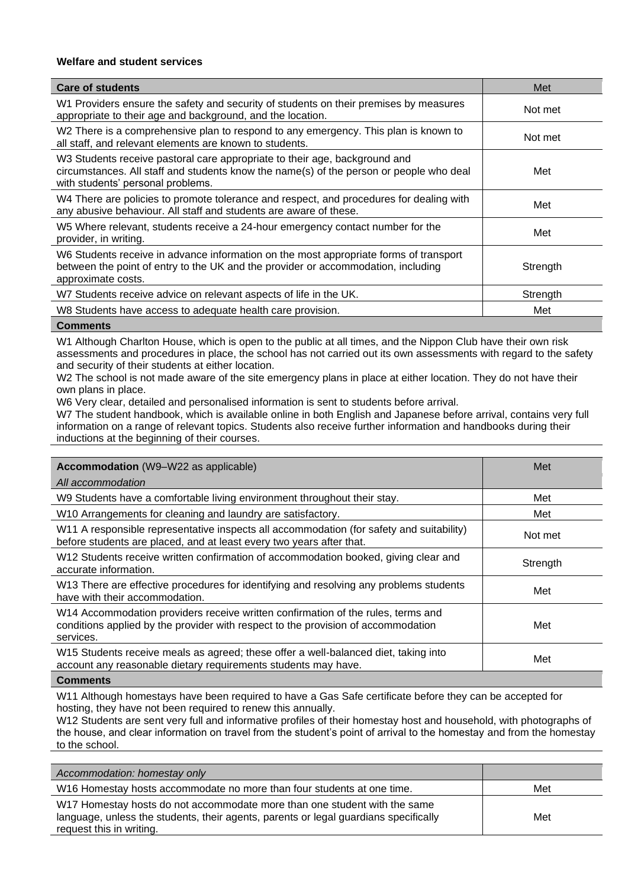## **Welfare and student services**

| <b>Care of students</b>                                                                                                                                                                                    | Met      |
|------------------------------------------------------------------------------------------------------------------------------------------------------------------------------------------------------------|----------|
| W1 Providers ensure the safety and security of students on their premises by measures<br>appropriate to their age and background, and the location.                                                        | Not met  |
| W2 There is a comprehensive plan to respond to any emergency. This plan is known to<br>all staff, and relevant elements are known to students.                                                             | Not met  |
| W3 Students receive pastoral care appropriate to their age, background and<br>circumstances. All staff and students know the name(s) of the person or people who deal<br>with students' personal problems. | Met      |
| W4 There are policies to promote tolerance and respect, and procedures for dealing with<br>any abusive behaviour. All staff and students are aware of these.                                               | Met      |
| W5 Where relevant, students receive a 24-hour emergency contact number for the<br>provider, in writing.                                                                                                    | Met      |
| W6 Students receive in advance information on the most appropriate forms of transport<br>between the point of entry to the UK and the provider or accommodation, including<br>approximate costs.           | Strength |
| W7 Students receive advice on relevant aspects of life in the UK.                                                                                                                                          | Strength |
| W8 Students have access to adequate health care provision.                                                                                                                                                 | Met      |
|                                                                                                                                                                                                            |          |

#### **Comments**

W1 Although Charlton House, which is open to the public at all times, and the Nippon Club have their own risk assessments and procedures in place, the school has not carried out its own assessments with regard to the safety and security of their students at either location.

W2 The school is not made aware of the site emergency plans in place at either location. They do not have their own plans in place.

W6 Very clear, detailed and personalised information is sent to students before arrival.

W7 The student handbook, which is available online in both English and Japanese before arrival, contains very full information on a range of relevant topics. Students also receive further information and handbooks during their inductions at the beginning of their courses.

| <b>Accommodation</b> (W9–W22 as applicable)                                                                                                                                        | Met      |
|------------------------------------------------------------------------------------------------------------------------------------------------------------------------------------|----------|
| All accommodation                                                                                                                                                                  |          |
| W9 Students have a comfortable living environment throughout their stay.                                                                                                           | Met      |
| W10 Arrangements for cleaning and laundry are satisfactory.                                                                                                                        | Met      |
| W11 A responsible representative inspects all accommodation (for safety and suitability)<br>before students are placed, and at least every two years after that.                   | Not met  |
| W12 Students receive written confirmation of accommodation booked, giving clear and<br>accurate information.                                                                       | Strength |
| W13 There are effective procedures for identifying and resolving any problems students<br>have with their accommodation.                                                           | Met      |
| W14 Accommodation providers receive written confirmation of the rules, terms and<br>conditions applied by the provider with respect to the provision of accommodation<br>services. | Met      |
| W15 Students receive meals as agreed; these offer a well-balanced diet, taking into<br>account any reasonable dietary requirements students may have.                              | Met      |
| Commonte                                                                                                                                                                           |          |

#### **Commen**

W11 Although homestays have been required to have a Gas Safe certificate before they can be accepted for hosting, they have not been required to renew this annually.

W12 Students are sent very full and informative profiles of their homestay host and household, with photographs of the house, and clear information on travel from the student's point of arrival to the homestay and from the homestay to the school.

| Accommodation: homestay only                                                                                                                                                                  |     |
|-----------------------------------------------------------------------------------------------------------------------------------------------------------------------------------------------|-----|
| W16 Homestay hosts accommodate no more than four students at one time.                                                                                                                        | Met |
| W17 Homestay hosts do not accommodate more than one student with the same<br>language, unless the students, their agents, parents or legal guardians specifically<br>request this in writing. | Met |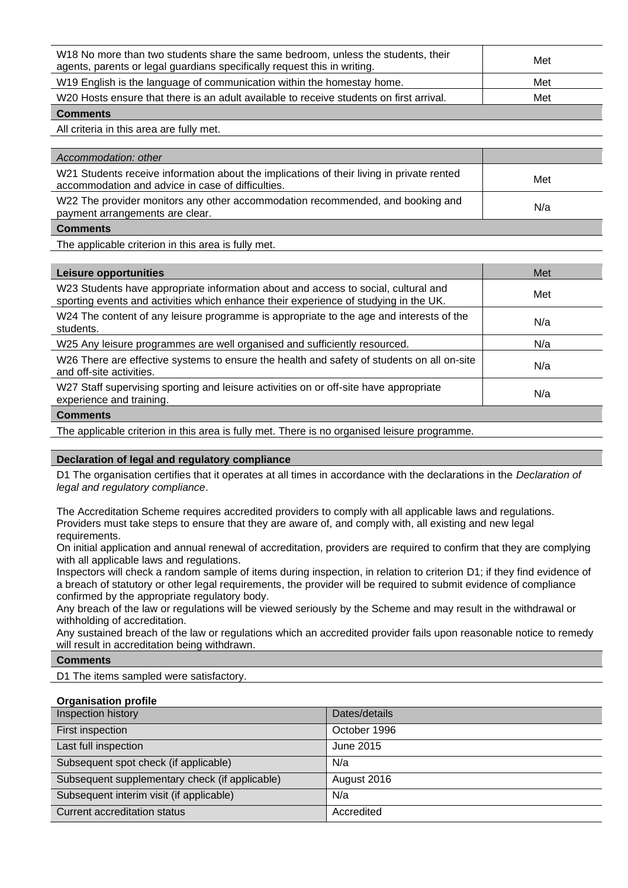| W18 No more than two students share the same bedroom, unless the students, their<br>agents, parents or legal guardians specifically request this in writing. | Met |
|--------------------------------------------------------------------------------------------------------------------------------------------------------------|-----|
| W19 English is the language of communication within the homestay home.                                                                                       | Met |
| W20 Hosts ensure that there is an adult available to receive students on first arrival.                                                                      | Met |
| <b>Comments</b>                                                                                                                                              |     |

All criteria in this area are fully met.

| Accommodation: other                                                                                                                           |     |
|------------------------------------------------------------------------------------------------------------------------------------------------|-----|
| W21 Students receive information about the implications of their living in private rented<br>accommodation and advice in case of difficulties. | Met |
| W22 The provider monitors any other accommodation recommended, and booking and<br>payment arrangements are clear.                              | N/a |
| <b>Comments</b>                                                                                                                                |     |

The applicable criterion in this area is fully met.

| Leisure opportunities                                                                                                                                                      | Met |
|----------------------------------------------------------------------------------------------------------------------------------------------------------------------------|-----|
| W23 Students have appropriate information about and access to social, cultural and<br>sporting events and activities which enhance their experience of studying in the UK. | Met |
| W24 The content of any leisure programme is appropriate to the age and interests of the<br>students.                                                                       | N/a |
| W25 Any leisure programmes are well organised and sufficiently resourced.                                                                                                  | N/a |
| W26 There are effective systems to ensure the health and safety of students on all on-site<br>and off-site activities.                                                     | N/a |
| W27 Staff supervising sporting and leisure activities on or off-site have appropriate<br>experience and training.                                                          | N/a |
| <b>Comments</b>                                                                                                                                                            |     |

The applicable criterion in this area is fully met. There is no organised leisure programme.

## **Declaration of legal and regulatory compliance**

D1 The organisation certifies that it operates at all times in accordance with the declarations in the *Declaration of legal and regulatory compliance*.

The Accreditation Scheme requires accredited providers to comply with all applicable laws and regulations. Providers must take steps to ensure that they are aware of, and comply with, all existing and new legal requirements.

On initial application and annual renewal of accreditation, providers are required to confirm that they are complying with all applicable laws and regulations.

Inspectors will check a random sample of items during inspection, in relation to criterion D1; if they find evidence of a breach of statutory or other legal requirements, the provider will be required to submit evidence of compliance confirmed by the appropriate regulatory body.

Any breach of the law or regulations will be viewed seriously by the Scheme and may result in the withdrawal or withholding of accreditation.

Any sustained breach of the law or regulations which an accredited provider fails upon reasonable notice to remedy will result in accreditation being withdrawn.

## **Comments**

D1 The items sampled were satisfactory.

## **Organisation profile**

| Inspection history                             | Dates/details |
|------------------------------------------------|---------------|
| First inspection                               | October 1996  |
| Last full inspection                           | June 2015     |
| Subsequent spot check (if applicable)          | N/a           |
| Subsequent supplementary check (if applicable) | August 2016   |
| Subsequent interim visit (if applicable)       | N/a           |
| Current accreditation status                   | Accredited    |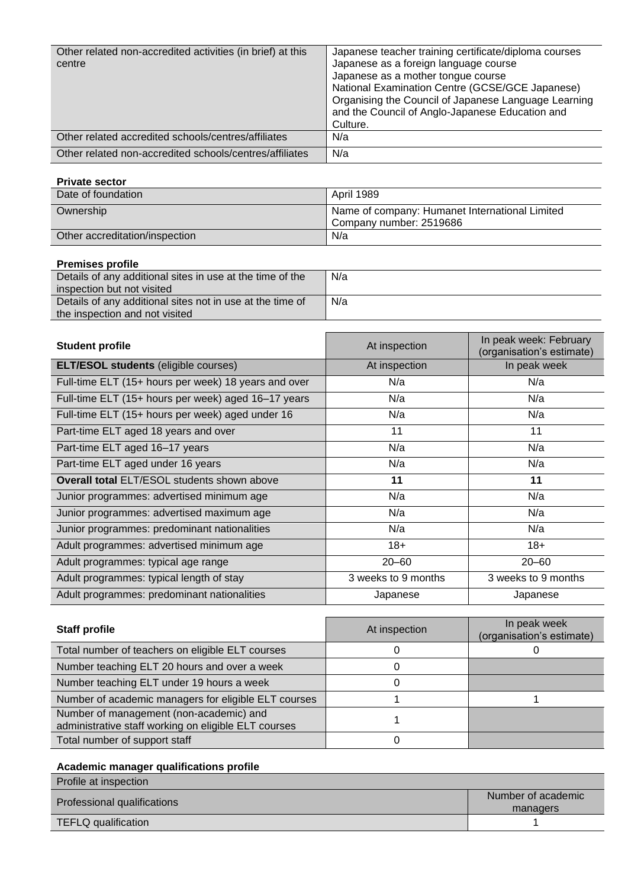| Other related non-accredited activities (in brief) at this<br>centre | Japanese teacher training certificate/diploma courses<br>Japanese as a foreign language course<br>Japanese as a mother tongue course<br>National Examination Centre (GCSE/GCE Japanese)<br>Organising the Council of Japanese Language Learning<br>and the Council of Anglo-Japanese Education and<br>Culture. |
|----------------------------------------------------------------------|----------------------------------------------------------------------------------------------------------------------------------------------------------------------------------------------------------------------------------------------------------------------------------------------------------------|
| Other related accredited schools/centres/affiliates                  | N/a                                                                                                                                                                                                                                                                                                            |
| Other related non-accredited schools/centres/affiliates              | N/a                                                                                                                                                                                                                                                                                                            |

## **Private sector**

| Date of foundation             | April 1989                                                                |
|--------------------------------|---------------------------------------------------------------------------|
| Ownership                      | Name of company: Humanet International Limited<br>Company number: 2519686 |
| Other accreditation/inspection | N/a                                                                       |

## **Premises profile**

| T TURNOUS MURIU                                           |     |
|-----------------------------------------------------------|-----|
| Details of any additional sites in use at the time of the | N/a |
| inspection but not visited                                |     |
| Details of any additional sites not in use at the time of | N/a |
| the inspection and not visited                            |     |

| <b>Student profile</b>                               | At inspection       | In peak week: February<br>(organisation's estimate) |
|------------------------------------------------------|---------------------|-----------------------------------------------------|
| <b>ELT/ESOL students (eligible courses)</b>          | At inspection       | In peak week                                        |
| Full-time ELT (15+ hours per week) 18 years and over | N/a                 | N/a                                                 |
| Full-time ELT (15+ hours per week) aged 16-17 years  | N/a                 | N/a                                                 |
| Full-time ELT (15+ hours per week) aged under 16     | N/a                 | N/a                                                 |
| Part-time ELT aged 18 years and over                 | 11                  | 11                                                  |
| Part-time ELT aged 16-17 years                       | N/a                 | N/a                                                 |
| Part-time ELT aged under 16 years                    | N/a                 | N/a                                                 |
| <b>Overall total ELT/ESOL students shown above</b>   | 11                  | 11                                                  |
| Junior programmes: advertised minimum age            | N/a                 | N/a                                                 |
| Junior programmes: advertised maximum age            | N/a                 | N/a                                                 |
| Junior programmes: predominant nationalities         | N/a                 | N/a                                                 |
| Adult programmes: advertised minimum age             | $18+$               | $18+$                                               |
| Adult programmes: typical age range                  | $20 - 60$           | $20 - 60$                                           |
| Adult programmes: typical length of stay             | 3 weeks to 9 months | 3 weeks to 9 months                                 |
| Adult programmes: predominant nationalities          | Japanese            | Japanese                                            |

| <b>Staff profile</b>                                                                            | At inspection | In peak week<br>(organisation's estimate) |
|-------------------------------------------------------------------------------------------------|---------------|-------------------------------------------|
| Total number of teachers on eligible ELT courses                                                |               |                                           |
| Number teaching ELT 20 hours and over a week                                                    |               |                                           |
| Number teaching ELT under 19 hours a week                                                       |               |                                           |
| Number of academic managers for eligible ELT courses                                            |               |                                           |
| Number of management (non-academic) and<br>administrative staff working on eligible ELT courses |               |                                           |
| Total number of support staff                                                                   |               |                                           |

## **Academic manager qualifications profile**

| Profile at inspection       |                    |
|-----------------------------|--------------------|
| Professional qualifications | Number of academic |
|                             | managers           |
| TEFLQ qualification         |                    |